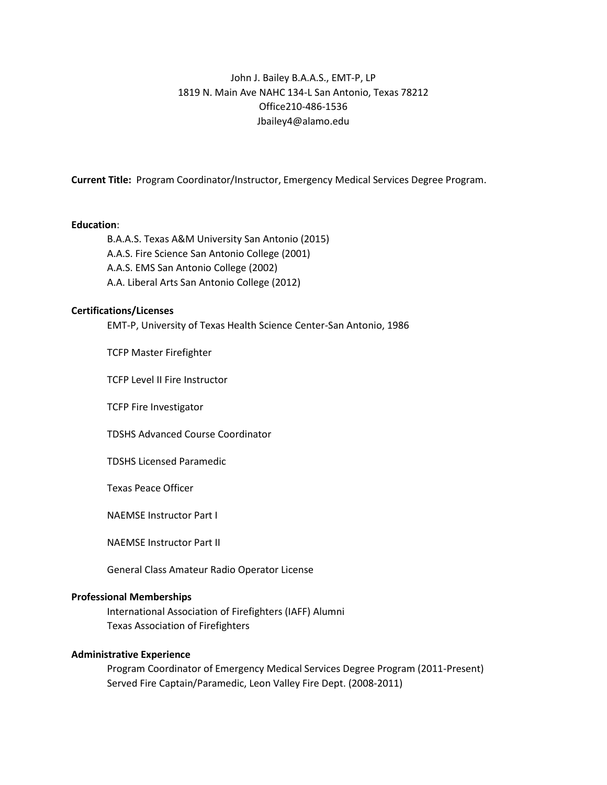# John J. Bailey B.A.A.S., EMT-P, LP 1819 N. Main Ave NAHC 134-L San Antonio, Texas 78212 Office210-486-1536 Jbailey4@alamo.edu

**Current Title:** Program Coordinator/Instructor, Emergency Medical Services Degree Program.

#### **Education**:

B.A.A.S. Texas A&M University San Antonio (2015) A.A.S. Fire Science San Antonio College (2001) A.A.S. EMS San Antonio College (2002) A.A. Liberal Arts San Antonio College (2012)

#### **Certifications/Licenses**

EMT-P, University of Texas Health Science Center-San Antonio, 1986

TCFP Master Firefighter

TCFP Level II Fire Instructor

TCFP Fire Investigator

TDSHS Advanced Course Coordinator

TDSHS Licensed Paramedic

Texas Peace Officer

NAEMSE Instructor Part I

NAEMSE Instructor Part II

General Class Amateur Radio Operator License

#### **Professional Memberships**

International Association of Firefighters (IAFF) Alumni Texas Association of Firefighters

## **Administrative Experience**

Program Coordinator of Emergency Medical Services Degree Program (2011-Present) Served Fire Captain/Paramedic, Leon Valley Fire Dept. (2008-2011)